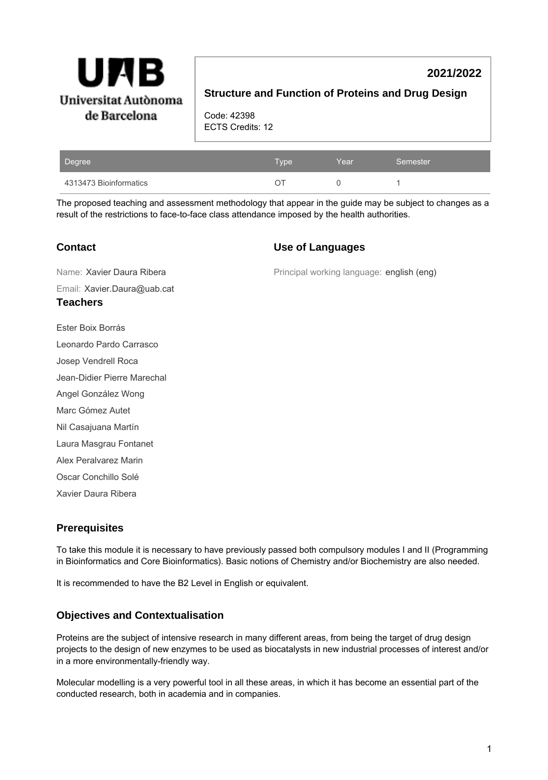

# **2021/2022**

### **Structure and Function of Proteins and Drug Design**

Code: 42398 ECTS Credits: 12

| Degree                 | Type' | Year | Semester |
|------------------------|-------|------|----------|
| 4313473 Bioinformatics |       |      |          |

The proposed teaching and assessment methodology that appear in the guide may be subject to changes as a result of the restrictions to face-to-face class attendance imposed by the health authorities.

### **Contact**

#### **Use of Languages**

Principal working language: english (eng) Email: Xavier.Daura@uab.cat Name: Xavier Daura Ribera **Teachers** Ester Boix Borrás Leonardo Pardo Carrasco Josep Vendrell Roca Jean-Didier Pierre Marechal Angel González Wong Marc Gómez Autet Nil Casajuana Martín Laura Masgrau Fontanet Alex Peralvarez Marin Oscar Conchillo Solé Xavier Daura Ribera

# **Prerequisites**

To take this module it is necessary to have previously passed both compulsory modules I and II (Programming in Bioinformatics and Core Bioinformatics). Basic notions of Chemistry and/or Biochemistry are also needed.

It is recommended to have the B2 Level in English or equivalent.

# **Objectives and Contextualisation**

Proteins are the subject of intensive research in many different areas, from being the target of drug design projects to the design of new enzymes to be used as biocatalysts in new industrial processes of interest and/or in a more environmentally-friendly way.

Molecular modelling is a very powerful tool in all these areas, in which it has become an essential part of the conducted research, both in academia and in companies.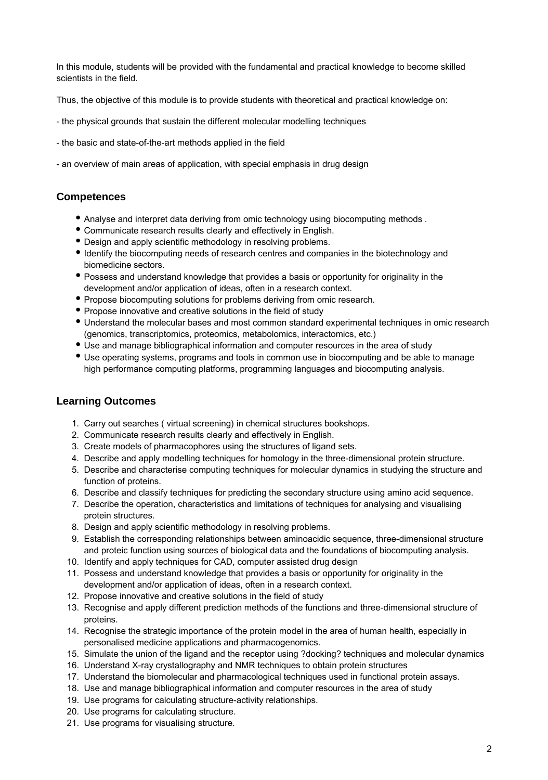In this module, students will be provided with the fundamental and practical knowledge to become skilled scientists in the field.

Thus, the objective of this module is to provide students with theoretical and practical knowledge on:

- the physical grounds that sustain the different molecular modelling techniques
- the basic and state-of-the-art methods applied in the field
- an overview of main areas of application, with special emphasis in drug design

### **Competences**

- Analyse and interpret data deriving from omic technology using biocomputing methods .
- Communicate research results clearly and effectively in English.
- Design and apply scientific methodology in resolving problems.
- Identify the biocomputing needs of research centres and companies in the biotechnology and biomedicine sectors.
- Possess and understand knowledge that provides a basis or opportunity for originality in the development and/or application of ideas, often in a research context.
- Propose biocomputing solutions for problems deriving from omic research.
- Propose innovative and creative solutions in the field of study
- Understand the molecular bases and most common standard experimental techniques in omic research (genomics, transcriptomics, proteomics, metabolomics, interactomics, etc.)
- Use and manage bibliographical information and computer resources in the area of study
- Use operating systems, programs and tools in common use in biocomputing and be able to manage high performance computing platforms, programming languages and biocomputing analysis.

### **Learning Outcomes**

- 1. Carry out searches ( virtual screening) in chemical structures bookshops.
- 2. Communicate research results clearly and effectively in English.
- 3. Create models of pharmacophores using the structures of ligand sets.
- 4. Describe and apply modelling techniques for homology in the three-dimensional protein structure.
- 5. Describe and characterise computing techniques for molecular dynamics in studying the structure and function of proteins.
- 6. Describe and classify techniques for predicting the secondary structure using amino acid sequence.
- 7. Describe the operation, characteristics and limitations of techniques for analysing and visualising protein structures.
- 8. Design and apply scientific methodology in resolving problems.
- 9. Establish the corresponding relationships between aminoacidic sequence, three-dimensional structure and proteic function using sources of biological data and the foundations of biocomputing analysis.
- 10. Identify and apply techniques for CAD, computer assisted drug design
- 11. Possess and understand knowledge that provides a basis or opportunity for originality in the development and/or application of ideas, often in a research context.
- 12. Propose innovative and creative solutions in the field of study
- 13. Recognise and apply different prediction methods of the functions and three-dimensional structure of proteins.
- 14. Recognise the strategic importance of the protein model in the area of human health, especially in personalised medicine applications and pharmacogenomics.
- 15. Simulate the union of the ligand and the receptor using ?docking? techniques and molecular dynamics
- 16. Understand X-ray crystallography and NMR techniques to obtain protein structures
- 17. Understand the biomolecular and pharmacological techniques used in functional protein assays.
- 18. Use and manage bibliographical information and computer resources in the area of study
- 19. Use programs for calculating structure-activity relationships.
- 20. Use programs for calculating structure.
- 21. Use programs for visualising structure.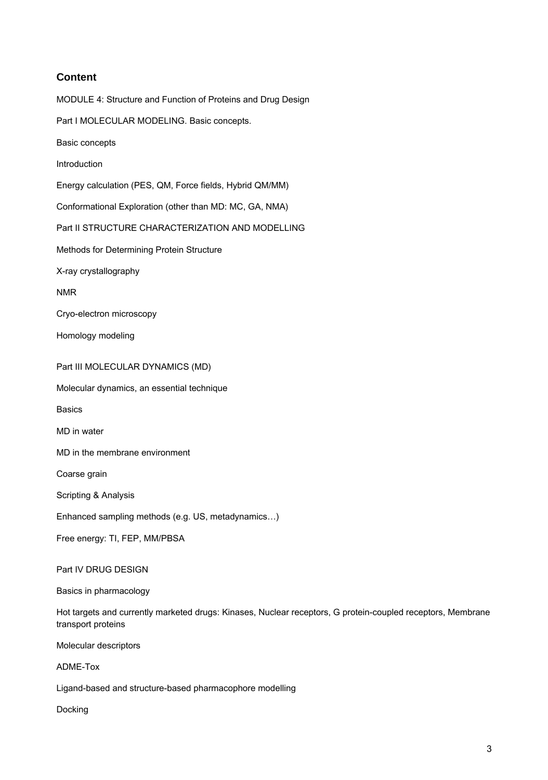### **Content**

MODULE 4: Structure and Function of Proteins and Drug Design Part I MOLECULAR MODELING. Basic concepts. Basic concepts Introduction Energy calculation (PES, QM, Force fields, Hybrid QM/MM) Conformational Exploration (other than MD: MC, GA, NMA) Part II STRUCTURE CHARACTERIZATION AND MODELLING Methods for Determining Protein Structure X-ray crystallography NMR Cryo-electron microscopy Homology modeling Part III MOLECULAR DYNAMICS (MD) Molecular dynamics, an essential technique Basics MD in water MD in the membrane environment Coarse grain Scripting & Analysis Enhanced sampling methods (e.g. US, metadynamics…) Free energy: TI, FEP, MM/PBSA Part IV DRUG DESIGN Basics in pharmacology

Hot targets and currently marketed drugs: Kinases, Nuclear receptors, G protein-coupled receptors, Membrane transport proteins

Molecular descriptors

ADME-Tox

Ligand-based and structure-based pharmacophore modelling

Docking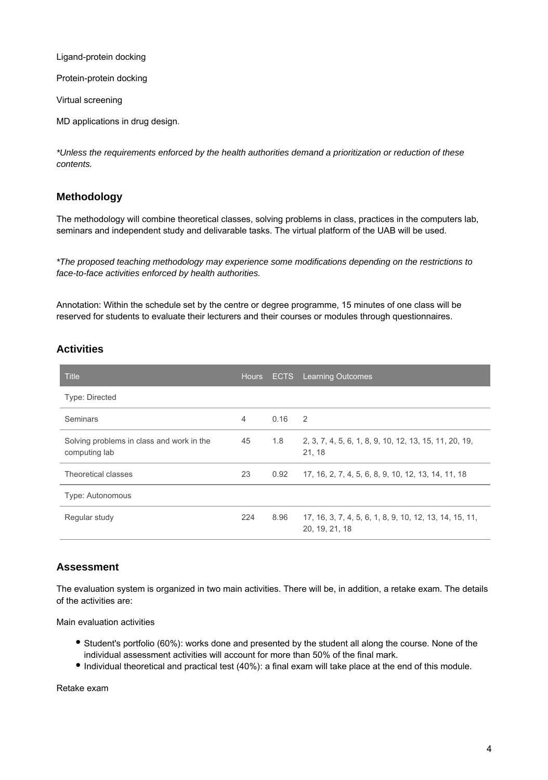Ligand-protein docking

Protein-protein docking

Virtual screening

MD applications in drug design.

\*Unless the requirements enforced by the health authorities demand a prioritization or reduction of these contents.

#### **Methodology**

The methodology will combine theoretical classes, solving problems in class, practices in the computers lab, seminars and independent study and delivarable tasks. The virtual platform of the UAB will be used.

\*The proposed teaching methodology may experience some modifications depending on the restrictions to face-to-face activities enforced by health authorities.

Annotation: Within the schedule set by the centre or degree programme, 15 minutes of one class will be reserved for students to evaluate their lecturers and their courses or modules through questionnaires.

#### **Activities**

| <b>Title</b>                                               | <b>Hours</b>   | <b>ECTS</b> | <b>Learning Outcomes</b>                                                  |
|------------------------------------------------------------|----------------|-------------|---------------------------------------------------------------------------|
| <b>Type: Directed</b>                                      |                |             |                                                                           |
| Seminars                                                   | $\overline{4}$ | 0.16        | 2                                                                         |
| Solving problems in class and work in the<br>computing lab | 45             | 1.8         | 2, 3, 7, 4, 5, 6, 1, 8, 9, 10, 12, 13, 15, 11, 20, 19,<br>21, 18          |
| Theoretical classes                                        | 23             | 0.92        | 17, 16, 2, 7, 4, 5, 6, 8, 9, 10, 12, 13, 14, 11, 18                       |
| <b>Type: Autonomous</b>                                    |                |             |                                                                           |
| Regular study                                              | 224            | 8.96        | 17, 16, 3, 7, 4, 5, 6, 1, 8, 9, 10, 12, 13, 14, 15, 11,<br>20, 19, 21, 18 |

#### **Assessment**

The evaluation system is organized in two main activities. There will be, in addition, a retake exam. The details of the activities are:

Main evaluation activities

- Student's portfolio (60%): works done and presented by the student all along the course. None of the individual assessment activities will account for more than 50% of the final mark.
- Individual theoretical and practical test (40%): a final exam will take place at the end of this module.

Retake exam